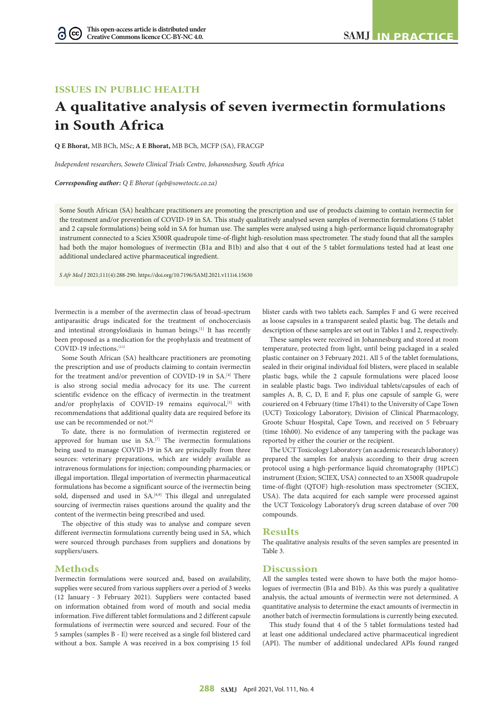## **ISSUES IN PUBLIC HEALTH**

G

# **A qualitative analysis of seven ivermectin formulations in South Africa**

**Q E Bhorat,** MB BCh, MSc; **A E Bhorat,** MB BCh, MCFP (SA), FRACGP

*Independent researchers, Soweto Clinical Trials Centre, Johannesburg, South Africa*

*Corresponding author: Q E Bhorat (qeb@sowetoctc.co.za)*

Some South African (SA) healthcare practitioners are promoting the prescription and use of products claiming to contain ivermectin for the treatment and/or prevention of COVID-19 in SA. This study qualitatively analysed seven samples of ivermectin formulations (5 tablet and 2 capsule formulations) being sold in SA for human use. The samples were analysed using a high-performance liquid chromatography instrument connected to a Sciex X500R quadrupole time-of-flight high-resolution mass spectrometer. The study found that all the samples had both the major homologues of ivermectin (B1a and B1b) and also that 4 out of the 5 tablet formulations tested had at least one additional undeclared active pharmaceutical ingredient.

*S Afr Med J* 2021;111(4):288-290. https://doi.org/10.7196/SAMJ.2021.v111i4.15630

Ivermectin is a member of the avermectin class of broad-spectrum antiparasitic drugs indicated for the treatment of onchocerciasis and intestinal strongyloidiasis in human beings.[1] It has recently been proposed as a medication for the prophylaxis and treatment of COVID-19 infections. [2,3]

Some South African (SA) healthcare practitioners are promoting the prescription and use of products claiming to contain ivermectin for the treatment and/or prevention of COVID-19 in SA.[4] There is also strong social media advocacy for its use. The current scientific evidence on the efficacy of ivermectin in the treatment and/or prophylaxis of COVID-19 remains equivocal,<sup>[5]</sup> with recommendations that additional quality data are required before its use can be recommended or not.<sup>[6]</sup>

To date, there is no formulation of ivermectin registered or approved for human use in SA.<sup>[7]</sup> The ivermectin formulations being used to manage COVID-19 in SA are principally from three sources: veterinary preparations, which are widely available as intravenous formulations for injection; compounding pharmacies; or illegal importation. Illegal importation of ivermectin pharmaceutical formulations has become a significant source of the ivermectin being sold, dispensed and used in SA.<sup>[8,9]</sup> This illegal and unregulated sourcing of ivermectin raises questions around the quality and the content of the ivermectin being prescribed and used.

The objective of this study was to analyse and compare seven different ivermectin formulations currently being used in SA, which were sourced through purchases from suppliers and donations by suppliers/users.

### **Methods**

Ivermectin formulations were sourced and, based on availability, supplies were secured from various suppliers over a period of 3 weeks (12 January - 3 February 2021). Suppliers were contacted based on information obtained from word of mouth and social media information. Five different tablet formulations and 2 different capsule formulations of ivermectin were sourced and secured. Four of the 5 samples (samples B - E) were received as a single foil blistered card without a box. Sample A was received in a box comprising 15 foil

blister cards with two tablets each. Samples F and G were received as loose capsules in a transparent sealed plastic bag. The details and description of these samples are set out in Tables 1 and 2, respectively.

These samples were received in Johannesburg and stored at room temperature, protected from light, until being packaged in a sealed plastic container on 3 February 2021. All 5 of the tablet formulations, sealed in their original individual foil blisters, were placed in sealable plastic bags, while the 2 capsule formulations were placed loose in sealable plastic bags. Two individual tablets/capsules of each of samples A, B, C, D, E and F, plus one capsule of sample G, were couriered on 4 February (time 17h41) to the University of Cape Town (UCT) Toxicology Laboratory, Division of Clinical Pharmacology, Groote Schuur Hospital, Cape Town, and received on 5 February (time 16h00). No evidence of any tampering with the package was reported by either the courier or the recipient.

The UCT Toxicology Laboratory (an academic research laboratory) prepared the samples for analysis according to their drug screen protocol using a high-performance liquid chromatography (HPLC) instrument (Exion; SCIEX, USA) connected to an X500R quadrupole time-of-flight (QTOF) high-resolution mass spectrometer (SCIEX, USA). The data acquired for each sample were processed against the UCT Toxicology Laboratory's drug screen database of over 700 compounds.

#### **Results**

The qualitative analysis results of the seven samples are presented in Table 3.

#### **Discussion**

All the samples tested were shown to have both the major homologues of ivermectin (B1a and B1b). As this was purely a qualitative analysis, the actual amounts of ivermectin were not determined. A quantitative analysis to determine the exact amounts of ivermectin in another batch of ivermectin formulations is currently being executed.

This study found that 4 of the 5 tablet formulations tested had at least one additional undeclared active pharmaceutical ingredient (API). The number of additional undeclared APIs found ranged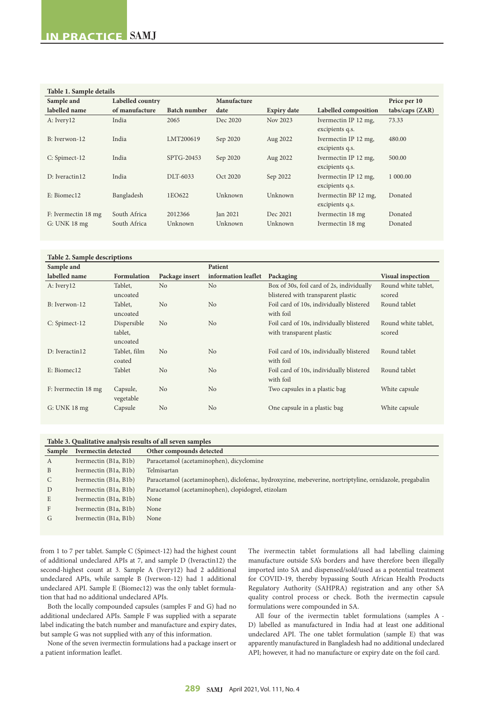## **Table 1. Sample details**

| Table 1. Sample details |                  |                     |             |                    |                                         |                                 |  |  |
|-------------------------|------------------|---------------------|-------------|--------------------|-----------------------------------------|---------------------------------|--|--|
| Sample and              | Labelled country |                     | Manufacture |                    |                                         | Price per 10                    |  |  |
| labelled name           | of manufacture   | <b>Batch number</b> | date        | <b>Expiry date</b> | Labelled composition                    | $\text{tabs}/\text{caps}$ (ZAR) |  |  |
| A: Ivery12              | India            | 2065                | Dec 2020    | Nov 2023           | Ivermectin IP 12 mg,<br>excipients q.s. | 73.33                           |  |  |
| B: Iverwon-12           | India            | LMT200619           | Sep 2020    | Aug 2022           | Ivermectin IP 12 mg,<br>excipients q.s. | 480.00                          |  |  |
| C: Spimect-12           | India            | SPTG-20453          | Sep 2020    | Aug 2022           | Ivermectin IP 12 mg,<br>excipients q.s. | 500.00                          |  |  |
| D: Iveractin12          | India            | DLT-6033            | Oct 2020    | Sep 2022           | Ivermectin IP 12 mg,<br>excipients q.s. | 1 000,00                        |  |  |
| E: Biomec12             | Bangladesh       | 1EO622              | Unknown     | Unknown            | Ivermectin BP 12 mg,<br>excipients q.s. | Donated                         |  |  |
| F: Ivermectin 18 mg     | South Africa     | 2012366             | Jan 2021    | Dec 2021           | Ivermectin 18 mg                        | Donated                         |  |  |
| $G:$ UNK 18 mg          | South Africa     | Unknown             | Unknown     | Unknown            | Ivermectin 18 mg                        | Donated                         |  |  |

#### **Table 2. Sample descriptions**

| Sample and          |                    |                | Patient             |                                           |                          |
|---------------------|--------------------|----------------|---------------------|-------------------------------------------|--------------------------|
| labelled name       | <b>Formulation</b> | Package insert | information leaflet | Packaging                                 | <b>Visual inspection</b> |
| A: Ivery12          | Tablet,            | N <sub>0</sub> | No                  | Box of 30s, foil card of 2s, individually | Round white tablet,      |
|                     | uncoated           |                |                     | blistered with transparent plastic        | scored                   |
| B: Iverwon-12       | Tablet,            | N <sub>0</sub> | No                  | Foil card of 10s, individually blistered  | Round tablet             |
|                     | uncoated           |                |                     | with foil                                 |                          |
| C: Spimect-12       | Dispersible        | N <sub>o</sub> | No                  | Foil card of 10s, individually blistered  | Round white tablet,      |
|                     | tablet,            |                |                     | with transparent plastic                  | scored                   |
|                     | uncoated           |                |                     |                                           |                          |
| D: Iveractin12      | Tablet, film       | N <sub>0</sub> | No                  | Foil card of 10s, individually blistered  | Round tablet             |
|                     | coated             |                |                     | with foil                                 |                          |
| E: Biomec12         | Tablet             | N <sub>o</sub> | No                  | Foil card of 10s, individually blistered  | Round tablet             |
|                     |                    |                |                     | with foil                                 |                          |
| F: Ivermectin 18 mg | Capsule,           | N <sub>0</sub> | No                  | Two capsules in a plastic bag             | White capsule            |
|                     | vegetable          |                |                     |                                           |                          |
| $G:$ UNK 18 mg      | Capsule            | N <sub>0</sub> | No                  | One capsule in a plastic bag              | White capsule            |
|                     |                    |                |                     |                                           |                          |

| Table 3. Qualitative analysis results of all seven samples |                                                                                                         |  |  |  |  |
|------------------------------------------------------------|---------------------------------------------------------------------------------------------------------|--|--|--|--|
| Ivermectin detected                                        | Other compounds detected                                                                                |  |  |  |  |
| Ivermectin (B1a, B1b)                                      | Paracetamol (acetaminophen), dicyclomine                                                                |  |  |  |  |
| Ivermectin (B1a, B1b)                                      | Telmisartan                                                                                             |  |  |  |  |
| Ivermectin (B1a, B1b)                                      | Paracetamol (acetaminophen), diclofenac, hydroxyzine, mebeverine, nortriptyline, ornidazole, pregabalin |  |  |  |  |
| Ivermectin (B1a, B1b)                                      | Paracetamol (acetaminophen), clopidogrel, etizolam                                                      |  |  |  |  |
| Ivermectin (B1a, B1b)                                      | None                                                                                                    |  |  |  |  |
| Ivermectin (B1a, B1b)                                      | None                                                                                                    |  |  |  |  |
| Ivermectin (B1a, B1b)                                      | None                                                                                                    |  |  |  |  |
|                                                            |                                                                                                         |  |  |  |  |

from 1 to 7 per tablet. Sample C (Spimect-12) had the highest count of additional undeclared APIs at 7, and sample D (Iveractin12) the second-highest count at 3. Sample A (Ivery12) had 2 additional undeclared APIs, while sample B (Iverwon-12) had 1 additional undeclared API. Sample E (Biomec12) was the only tablet formulation that had no additional undeclared APIs.

Both the locally compounded capsules (samples F and G) had no additional undeclared APIs. Sample F was supplied with a separate label indicating the batch number and manufacture and expiry dates, but sample G was not supplied with any of this information.

None of the seven ivermectin formulations had a package insert or a patient information leaflet.

The ivermectin tablet formulations all had labelling claiming manufacture outside SA's borders and have therefore been illegally imported into SA and dispensed/sold/used as a potential treatment for COVID-19, thereby bypassing South African Health Products Regulatory Authority (SAHPRA) registration and any other SA quality control process or check. Both the ivermectin capsule formulations were compounded in SA.

All four of the ivermectin tablet formulations (samples A - D) labelled as manufactured in India had at least one additional undeclared API. The one tablet formulation (sample E) that was apparently manufactured in Bangladesh had no additional undeclared API; however, it had no manufacture or expiry date on the foil card.